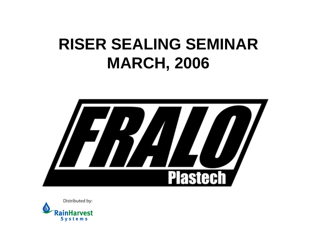#### **RISER SEALING SEMINAR MARCH, 2006**



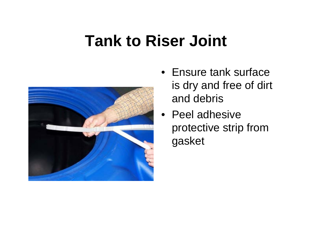

- Ensure tank surface is dry and free of dirt and debris
- Peel adhesive protective strip from gasket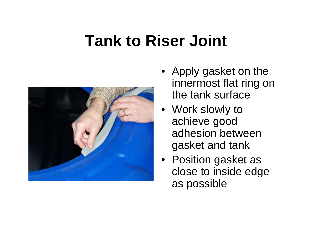

- Apply gasket on the innermost flat ring on the tank surface
- Work slowly to achieve good adhesion between gasket and tank
- Position gasket as close to inside edge as possible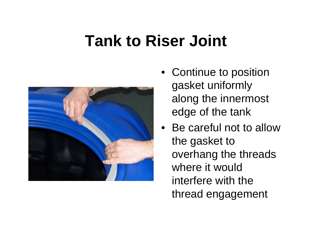

- Continue to position gasket uniformly along the innermost edge of the tank
- Be careful not to allow the gasket to overhang the threads where it would interfere with the thread engagement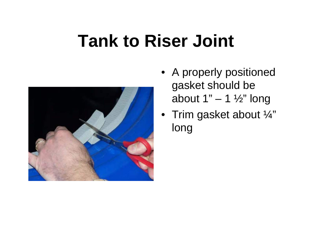

- A properly positioned gasket should be about  $1" - 1 \frac{1}{2"}$  long
- $\bullet~$  Trim gasket about  $\%$ " long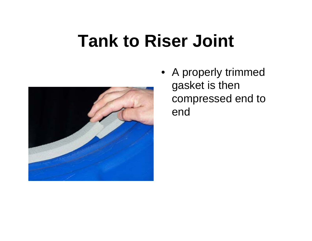

• A properly trimmed gasket is then compressed end to end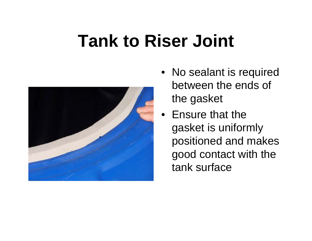

- No sealant is required between the ends of the gasket
- Ensure that the gasket is uniformly positioned and makes good contact with the tank surface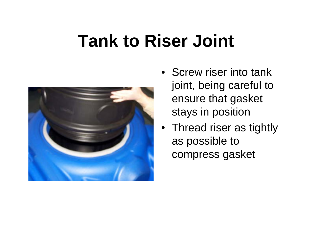

- Screw riser into tank joint, being careful to ensure that gasket stays in position
- Thread riser as tightly as possible to compress gasket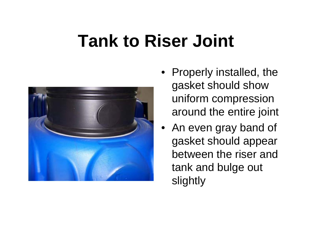

- Properly installed, the gasket should show uniform compression around the entire joint
- An even gray band of gasket should appear between the riser and tank and bulge out slightly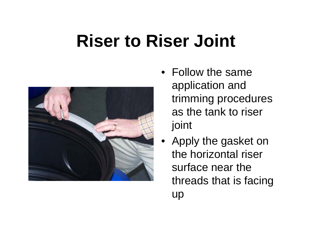## **Riser to Riser Joint**



- Follow the same application and trimming procedures as the tank to riser joint
- Apply the gasket on the horizontal riser surface near the threads that is facing up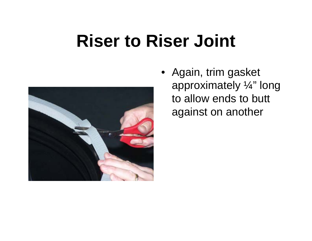#### **Riser to Riser Joint**



• Again, trim gasket approximately ¼" long to allow ends to butt against on another